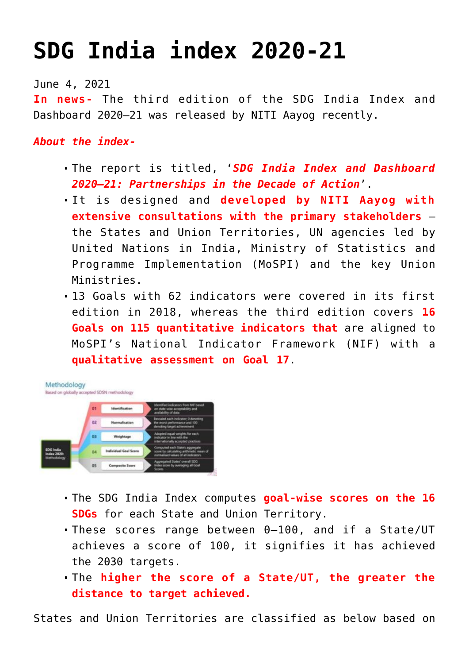## **[SDG India index 2020-21](https://journalsofindia.com/sdg-india-index-2020-21/)**

June 4, 2021

**In news-** The third edition of the SDG India Index and Dashboard 2020–21 was released by NITI Aayog recently.

*About the index-*

- The report is titled, '*SDG India Index and Dashboard 2020–21: Partnerships in the Decade of Action*'.
- It is designed and **developed by NITI Aayog with extensive consultations with the primary stakeholders**  the States and Union Territories, UN agencies led by United Nations in India, Ministry of Statistics and Programme Implementation (MoSPI) and the key Union Ministries.
- 13 Goals with 62 indicators were covered in its first edition in 2018, whereas the third edition covers **16 Goals on 115 quantitative indicators that** are aligned to MoSPI's National Indicator Framework (NIF) with a **qualitative assessment on Goal 17**.



- The SDG India Index computes **goal-wise scores on the 16 SDGs** for each State and Union Territory.
- These scores range between 0–100, and if a State/UT achieves a score of 100, it signifies it has achieved the 2030 targets.
- The **higher the score of a State/UT, the greater the distance to target achieved.**

States and Union Territories are classified as below based on